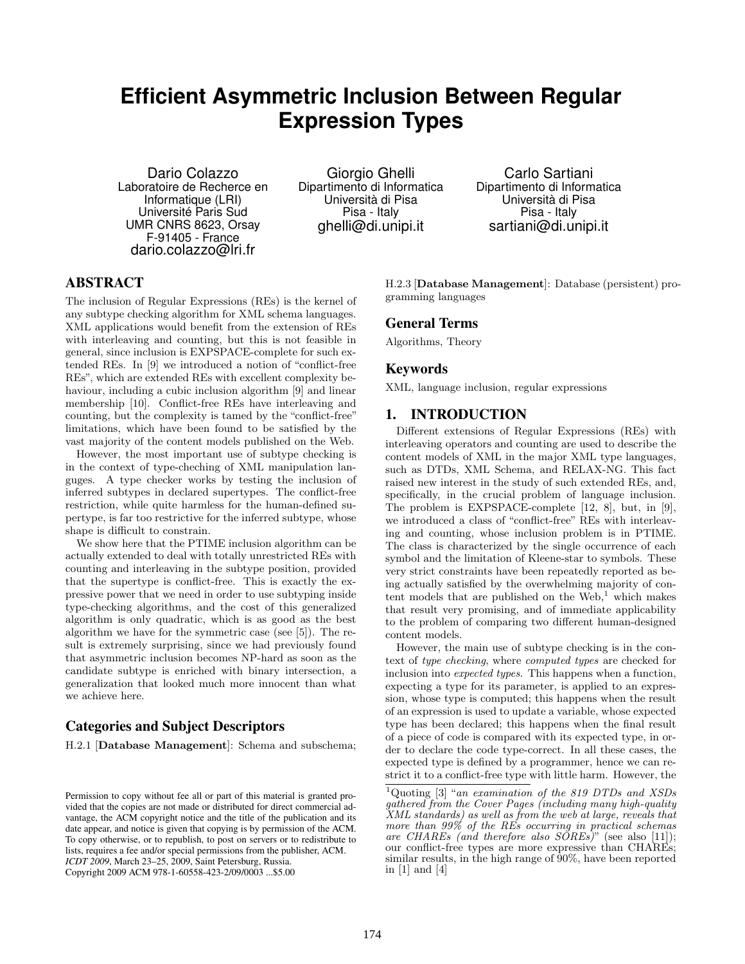# **Efficient Asymmetric Inclusion Between Regular Expression Types**

Dario Colazzo Laboratoire de Recherce en Informatique (LRI) Université Paris Sud UMR CNRS 8623, Orsay F-91405 - France dario.colazzo@lri.fr

Giorgio Ghelli Dipartimento di Informatica Università di Pisa Pisa - Italy ghelli@di.unipi.it

Carlo Sartiani Dipartimento di Informatica Università di Pisa Pisa - Italy sartiani@di.unipi.it

# ABSTRACT

The inclusion of Regular Expressions (REs) is the kernel of any subtype checking algorithm for XML schema languages. XML applications would benefit from the extension of REs with interleaving and counting, but this is not feasible in general, since inclusion is EXPSPACE-complete for such extended REs. In [9] we introduced a notion of "conflict-free REs", which are extended REs with excellent complexity behaviour, including a cubic inclusion algorithm [9] and linear membership [10]. Conflict-free REs have interleaving and counting, but the complexity is tamed by the "conflict-free" limitations, which have been found to be satisfied by the vast majority of the content models published on the Web.

However, the most important use of subtype checking is in the context of type-cheching of XML manipulation languges. A type checker works by testing the inclusion of inferred subtypes in declared supertypes. The conflict-free restriction, while quite harmless for the human-defined supertype, is far too restrictive for the inferred subtype, whose shape is difficult to constrain.

We show here that the PTIME inclusion algorithm can be actually extended to deal with totally unrestricted REs with counting and interleaving in the subtype position, provided that the supertype is conflict-free. This is exactly the expressive power that we need in order to use subtyping inside type-checking algorithms, and the cost of this generalized algorithm is only quadratic, which is as good as the best algorithm we have for the symmetric case (see [5]). The result is extremely surprising, since we had previously found that asymmetric inclusion becomes NP-hard as soon as the candidate subtype is enriched with binary intersection, a generalization that looked much more innocent than what we achieve here.

# Categories and Subject Descriptors

H.2.1 [Database Management]: Schema and subschema;

H.2.3 [Database Management]: Database (persistent) programming languages

## General Terms

Algorithms, Theory

## Keywords

XML, language inclusion, regular expressions

# 1. INTRODUCTION

Different extensions of Regular Expressions (REs) with interleaving operators and counting are used to describe the content models of XML in the major XML type languages, such as DTDs, XML Schema, and RELAX-NG. This fact raised new interest in the study of such extended REs, and, specifically, in the crucial problem of language inclusion. The problem is EXPSPACE-complete [12, 8], but, in [9], we introduced a class of "conflict-free" REs with interleaving and counting, whose inclusion problem is in PTIME. The class is characterized by the single occurrence of each symbol and the limitation of Kleene-star to symbols. These very strict constraints have been repeatedly reported as being actually satisfied by the overwhelming majority of content models that are published on the  $Web<sub>1</sub><sup>1</sup>$  which makes that result very promising, and of immediate applicability to the problem of comparing two different human-designed content models.

However, the main use of subtype checking is in the context of type checking, where computed types are checked for inclusion into expected types. This happens when a function, expecting a type for its parameter, is applied to an expression, whose type is computed; this happens when the result of an expression is used to update a variable, whose expected type has been declared; this happens when the final result of a piece of code is compared with its expected type, in order to declare the code type-correct. In all these cases, the expected type is defined by a programmer, hence we can restrict it to a conflict-free type with little harm. However, the

Permission to copy without fee all or part of this material is granted provided that the copies are not made or distributed for direct commercial advantage, the ACM copyright notice and the title of the publication and its date appear, and notice is given that copying is by permission of the ACM. To copy otherwise, or to republish, to post on servers or to redistribute to lists, requires a fee and/or special permissions from the publisher, ACM. *ICDT 2009*, March 23–25, 2009, Saint Petersburg, Russia. Copyright 2009 ACM 978-1-60558-423-2/09/0003 ...\$5.00

<sup>&</sup>lt;sup>1</sup>Quoting [3] "an examination of the 819 DTDs and XSDs gathered from the Cover Pages (including many high-quality XML standards) as well as from the web at large, reveals that more than 99% of the REs occurring in practical schemas are CHAREs (and therefore also  $S\tilde{O}REs$ )" (see also [11]); our conflict-free types are more expressive than CHAREs; similar results, in the high range of  $90\%$ , have been reported in [1] and [4]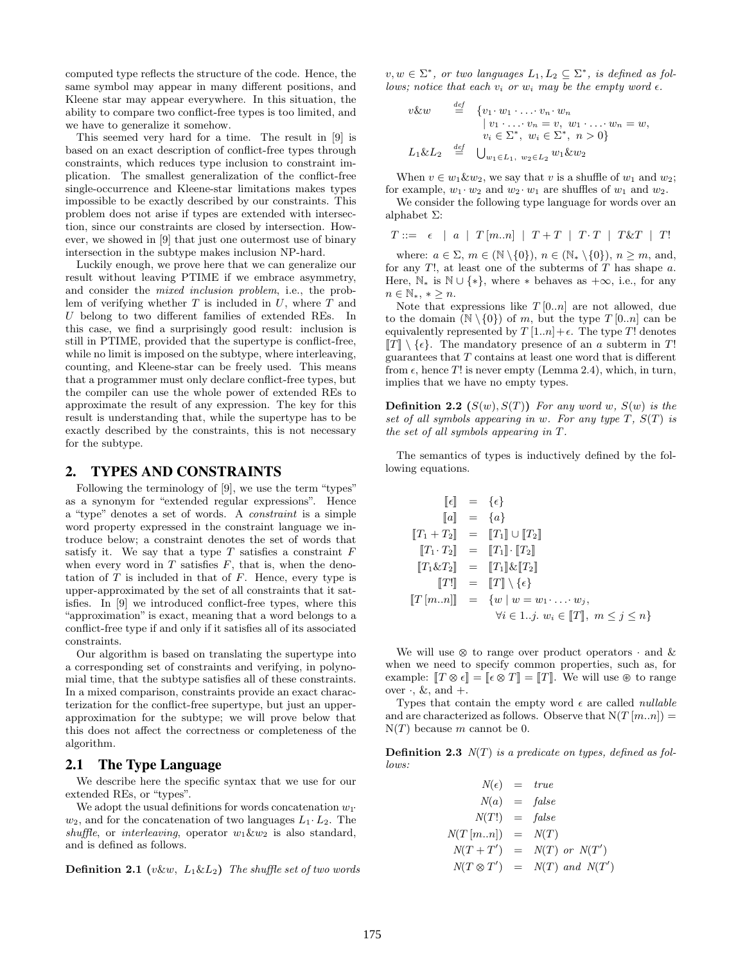computed type reflects the structure of the code. Hence, the same symbol may appear in many different positions, and Kleene star may appear everywhere. In this situation, the ability to compare two conflict-free types is too limited, and we have to generalize it somehow.

This seemed very hard for a time. The result in [9] is based on an exact description of conflict-free types through constraints, which reduces type inclusion to constraint implication. The smallest generalization of the conflict-free single-occurrence and Kleene-star limitations makes types impossible to be exactly described by our constraints. This problem does not arise if types are extended with intersection, since our constraints are closed by intersection. However, we showed in [9] that just one outermost use of binary intersection in the subtype makes inclusion NP-hard.

Luckily enough, we prove here that we can generalize our result without leaving PTIME if we embrace asymmetry, and consider the mixed inclusion problem, i.e., the problem of verifying whether  $T$  is included in  $U$ , where  $T$  and U belong to two different families of extended REs. In this case, we find a surprisingly good result: inclusion is still in PTIME, provided that the supertype is conflict-free, while no limit is imposed on the subtype, where interleaving, counting, and Kleene-star can be freely used. This means that a programmer must only declare conflict-free types, but the compiler can use the whole power of extended REs to approximate the result of any expression. The key for this result is understanding that, while the supertype has to be exactly described by the constraints, this is not necessary for the subtype.

## 2. TYPES AND CONSTRAINTS

Following the terminology of [9], we use the term "types" as a synonym for "extended regular expressions". Hence a "type" denotes a set of words. A constraint is a simple word property expressed in the constraint language we introduce below; a constraint denotes the set of words that satisfy it. We say that a type  $T$  satisfies a constraint  $F$ when every word in  $T$  satisfies  $F$ , that is, when the denotation of  $T$  is included in that of  $F$ . Hence, every type is upper-approximated by the set of all constraints that it satisfies. In [9] we introduced conflict-free types, where this "approximation" is exact, meaning that a word belongs to a conflict-free type if and only if it satisfies all of its associated constraints.

Our algorithm is based on translating the supertype into a corresponding set of constraints and verifying, in polynomial time, that the subtype satisfies all of these constraints. In a mixed comparison, constraints provide an exact characterization for the conflict-free supertype, but just an upperapproximation for the subtype; we will prove below that this does not affect the correctness or completeness of the algorithm.

## 2.1 The Type Language

We describe here the specific syntax that we use for our extended REs, or "types".

We adopt the usual definitions for words concatenation  $w_1$ .  $w_2$ , and for the concatenation of two languages  $L_1 \cdot L_2$ . The shuffle, or interleaving, operator  $w_1 \& w_2$  is also standard, and is defined as follows.

**Definition 2.1** (v&w,  $L_1 \& L_2$ ) The shuffle set of two words

 $v, w \in \Sigma^*$ , or two languages  $L_1, L_2 \subseteq \Sigma^*$ , is defined as follows; notice that each  $v_i$  or  $w_i$  may be the empty word  $\epsilon$ .

 $\overline{a}$ 

$$
v\&w \stackrel{\text{def}}{=} \{v_1 \cdot w_1 \cdot \ldots \cdot v_n \cdot w_n
$$
  
\n
$$
\{v_1 \cdot \ldots \cdot v_n = v, w_1 \cdot \ldots \cdot w_n = w,
$$
  
\n
$$
v_i \in \Sigma^*, w_i \in \Sigma^*, n > 0\}
$$
  
\n
$$
L_1 \&L_2 \stackrel{\text{def}}{=} \bigcup_{w_1 \in L_1, w_2 \in L_2} w_1 \&w_2
$$

When  $v \in w_1 \& w_2$ , we say that v is a shuffle of  $w_1$  and  $w_2$ ; for example,  $w_1 \cdot w_2$  and  $w_2 \cdot w_1$  are shuffles of  $w_1$  and  $w_2$ .

We consider the following type language for words over an alphabet Σ:

$$
T::=~~\epsilon~~\mid~~a~~\mid~~T\left[m..n\right]~~\mid~~T+T~~\mid~~T\cdot T~~\mid~~T\&T~~\mid~~T!
$$

where:  $a \in \Sigma$ ,  $m \in (\mathbb{N} \setminus \{0\})$ ,  $n \in (\mathbb{N} \setminus \{0\})$ ,  $n \geq m$ , and, for any  $T!$ , at least one of the subterms of  $T$  has shape  $a$ . Here,  $\mathbb{N}_*$  is  $\mathbb{N} \cup \{*\}$ , where  $*$  behaves as  $+\infty$ , i.e., for any  $n \in \mathbb{N}_*, * \geq n.$ 

Note that expressions like  $T[0..n]$  are not allowed, due to the domain  $(N \setminus \{0\})$  of m, but the type  $T [0..n]$  can be equivalently represented by  $T[1..n] + \epsilon$ . The type T! denotes  $[T] \setminus {\epsilon}$ . The mandatory presence of an a subterm in T! guarantees that  $T$  contains at least one word that is different from  $\epsilon$ , hence T! is never empty (Lemma 2.4), which, in turn, implies that we have no empty types.

**Definition 2.2**  $(S(w), S(T))$  For any word w,  $S(w)$  is the set of all symbols appearing in w. For any type  $T$ ,  $S(T)$  is the set of all symbols appearing in T.

The semantics of types is inductively defined by the following equations.

$$
\begin{aligned}\n[\![\epsilon]\!] &= \{\epsilon\} \\
[\![a]\!] &= \{a\} \\
[\![T_1 + T_2]\!] &= [\![T_1]\!] \cup [\![T_2]\!] \\
[\![T_1 \cdot T_2]\!] &= [\![T_1]\!] \cdot [\![T_2]\!] \\
[\![T_1 \& T_2]\!] &= [\![T_1]\!] \& [\![T_2]\!] \\
[\![T^1]\!] &= [\![T]\!] \setminus \{\epsilon\} \\
[\![T\,[m..n]\!] &= \{w \mid w = w_1 \cdot \ldots \cdot w_j, \\
\forall i \in 1..j. \ w_i \in [\![T]\!], \ m \le j \le n\}\n\end{aligned}
$$

We will use  $\otimes$  to range over product operators  $\cdot$  and  $\&$ when we need to specify common properties, such as, for example:  $TT \otimes \epsilon$  =  $\epsilon \otimes T$  =  $TT$ . We will use  $\otimes$  to range over  $\cdot$ , &, and  $+$ .

Types that contain the empty word  $\epsilon$  are called *nullable* and are characterized as follows. Observe that  $N(T[m..n]) =$  $N(T)$  because m cannot be 0.

**Definition 2.3**  $N(T)$  is a predicate on types, defined as follows:

$$
N(\epsilon) = true
$$
  
\n
$$
N(a) = false
$$
  
\n
$$
N(T!) = false
$$
  
\n
$$
N(T [m..n]) = N(T)
$$
  
\n
$$
N(T+T') = N(T) \text{ or } N(T')
$$
  
\n
$$
N(T \otimes T') = N(T) \text{ and } N(T')
$$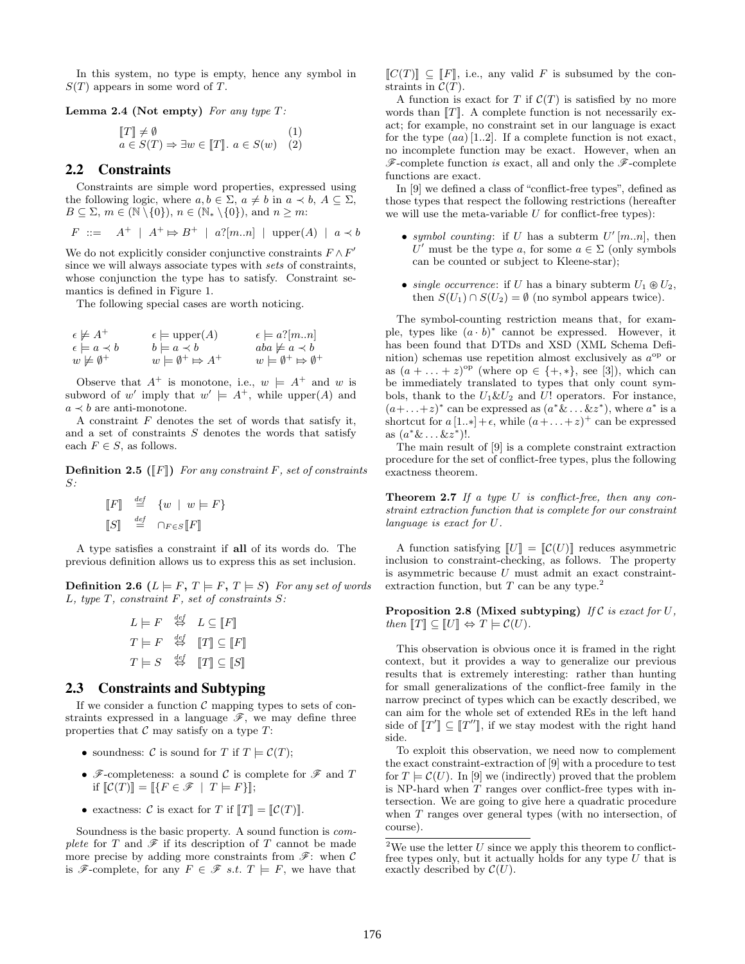In this system, no type is empty, hence any symbol in  $S(T)$  appears in some word of T.

**Lemma 2.4 (Not empty)** For any type  $T$ :

$$
\begin{aligned} \llbracket T \rrbracket \neq \emptyset & (1) \\ a \in S(T) \Rightarrow \exists w \in \llbracket T \rrbracket. \ a \in S(w) & (2) \end{aligned}
$$

## 2.2 Constraints

Constraints are simple word properties, expressed using the following logic, where  $a, b \in \Sigma$ ,  $a \neq b$  in  $a \prec b$ ,  $A \subseteq \Sigma$ ,  $B \subseteq \Sigma$ ,  $m \in (\mathbb{N} \setminus \{0\})$ ,  $n \in (\mathbb{N}_* \setminus \{0\})$ , and  $n \geq m$ :

$$
F ::= A^+ | A^+ \Rightarrow B^+ | a?[m..n] | upper(A) | a \prec b
$$

We do not explicitly consider conjunctive constraints  $F \wedge F'$ since we will always associate types with sets of constraints, whose conjunction the type has to satisfy. Constraint semantics is defined in Figure 1.

The following special cases are worth noticing.

| $\epsilon \not\models A^+$   | $\epsilon \models \text{upper}(A)$      | $\epsilon \models a$ ?[mn]                      |
|------------------------------|-----------------------------------------|-------------------------------------------------|
| $\epsilon \models a \prec b$ | $b \models a \prec b$                   | $aba \not\models a \prec b$                     |
| $w \not\models \emptyset^+$  | $w \models \emptyset^+ \Rightarrow A^+$ | $w \models \emptyset^+ \Rightarrow \emptyset^+$ |
|                              |                                         |                                                 |

Observe that  $A^+$  is monotone, i.e.,  $w \models A^+$  and w is subword of w' imply that  $w' \models A^+$ , while upper(A) and  $a \prec b$  are anti-monotone.

A constraint  $F$  denotes the set of words that satisfy it, and a set of constraints  $S$  denotes the words that satisfy each  $F \in S$ , as follows.

**Definition 2.5** ( $\llbracket F \rrbracket$ ) For any constraint F, set of constraints  $S:$ 

$$
\begin{array}{rcl} \llbracket F \rrbracket & \stackrel{def}{=} & \{ w \mid w \models F \} \\ \llbracket S \rrbracket & \stackrel{def}{=} & \cap_{F \in S} \llbracket F \rrbracket \end{array}
$$

A type satisfies a constraint if all of its words do. The previous definition allows us to express this as set inclusion.

**Definition 2.6** ( $L \models F, T \models F, T \models S$ ) For any set of words  $L$ , type  $T$ , constraint  $F$ , set of constraints  $S$ :

$$
L \models F \stackrel{\text{def}}{\Leftrightarrow} L \subseteq [F]
$$
  

$$
T \models F \stackrel{\text{def}}{\Leftrightarrow} [T] \subseteq [F]
$$
  

$$
T \models S \stackrel{\text{def}}{\Leftrightarrow} [T] \subseteq [S]
$$

## 2.3 Constraints and Subtyping

If we consider a function  $\mathcal C$  mapping types to sets of constraints expressed in a language  $\mathscr{F}$ , we may define three properties that  $C$  may satisfy on a type  $T$ :

- soundness:  $\mathcal C$  is sound for T if  $T \models \mathcal C(T)$ ;
- $\mathscr{F}$ -completeness: a sound C is complete for  $\mathscr{F}$  and T if  $\mathcal{C}(T)\mathcal{K} = \mathcal{K} \in \mathcal{F} \mid T \models F\mathcal{K};$
- exactness: C is exact for T if  $T \parallel T \parallel = \parallel \mathcal{C}(T) \parallel$ .

Soundness is the basic property. A sound function is complete for T and  $\mathscr F$  if its description of T cannot be made more precise by adding more constraints from  $\mathscr{F}$ : when  $\mathscr{C}$ is  $\mathscr{F}$ -complete, for any  $F \in \mathscr{F}$  s.t.  $T \models F$ , we have that  $\llbracket C(T) \rrbracket \subseteq \llbracket F \rrbracket$ , i.e., any valid F is subsumed by the constraints in  $\mathcal{C}(T)$ .

A function is exact for T if  $\mathcal{C}(T)$  is satisfied by no more words than  $T$ . A complete function is not necessarily exact; for example, no constraint set in our language is exact for the type  $(aa)$  [1..2]. If a complete function is not exact, no incomplete function may be exact. However, when an  $\mathscr{F}$ -complete function is exact, all and only the  $\mathscr{F}$ -complete functions are exact.

In [9] we defined a class of "conflict-free types", defined as those types that respect the following restrictions (hereafter we will use the meta-variable  $U$  for conflict-free types):

- symbol counting: if U has a subterm  $U'[m..n]$ , then U' must be the type a, for some  $a \in \Sigma$  (only symbols can be counted or subject to Kleene-star);
- single occurrence: if U has a binary subterm  $U_1 \otimes U_2$ , then  $S(U_1) \cap S(U_2) = \emptyset$  (no symbol appears twice).

The symbol-counting restriction means that, for example, types like  $(a \cdot b)^*$  cannot be expressed. However, it has been found that DTDs and XSD (XML Schema Definition) schemas use repetition almost exclusively as  $a^{\rm op}$  or as  $(a + \ldots + z)^{\text{op}}$  (where  $op \in \{+,*\},$  see [3]), which can be immediately translated to types that only count symbols, thank to the  $U_1 \& U_2$  and  $U$ ! operators. For instance,  $(a+\ldots+z)^*$  can be expressed as  $(a^*\&ldots \&z^*)$ , where  $a^*$  is a shortcut for  $a[1..*] + \epsilon$ , while  $(a + ... + z)^+$  can be expressed as  $(a^* \& \dots \& z^*)!$ .

The main result of [9] is a complete constraint extraction procedure for the set of conflict-free types, plus the following exactness theorem.

**Theorem 2.7** If a type U is conflict-free, then any constraint extraction function that is complete for our constraint language is exact for U.

A function satisfying  $\llbracket U \rrbracket = \llbracket \mathcal{C}(U) \rrbracket$  reduces asymmetric inclusion to constraint-checking, as follows. The property is asymmetric because  $U$  must admit an exact constraintextraction function, but  $T$  can be any type.<sup>2</sup>

Proposition 2.8 (Mixed subtyping) If  $\mathcal C$  is exact for  $U$ . then  $TT \subseteq \llbracket U \rrbracket \Leftrightarrow T \models \mathcal{C}(U)$ .

This observation is obvious once it is framed in the right context, but it provides a way to generalize our previous results that is extremely interesting: rather than hunting for small generalizations of the conflict-free family in the narrow precinct of types which can be exactly described, we can aim for the whole set of extended REs in the left hand side of  $[[T']] \subseteq [[T'']],$  if we stay modest with the right hand side.

To exploit this observation, we need now to complement the exact constraint-extraction of [9] with a procedure to test for  $T \models \mathcal{C}(U)$ . In [9] we (indirectly) proved that the problem is NP-hard when  $T$  ranges over conflict-free types with intersection. We are going to give here a quadratic procedure when T ranges over general types (with no intersection, of course).

<sup>&</sup>lt;sup>2</sup>We use the letter  $U$  since we apply this theorem to conflictfree types only, but it actually holds for any type  $U$  that is exactly described by  $\mathcal{C}(U)$ .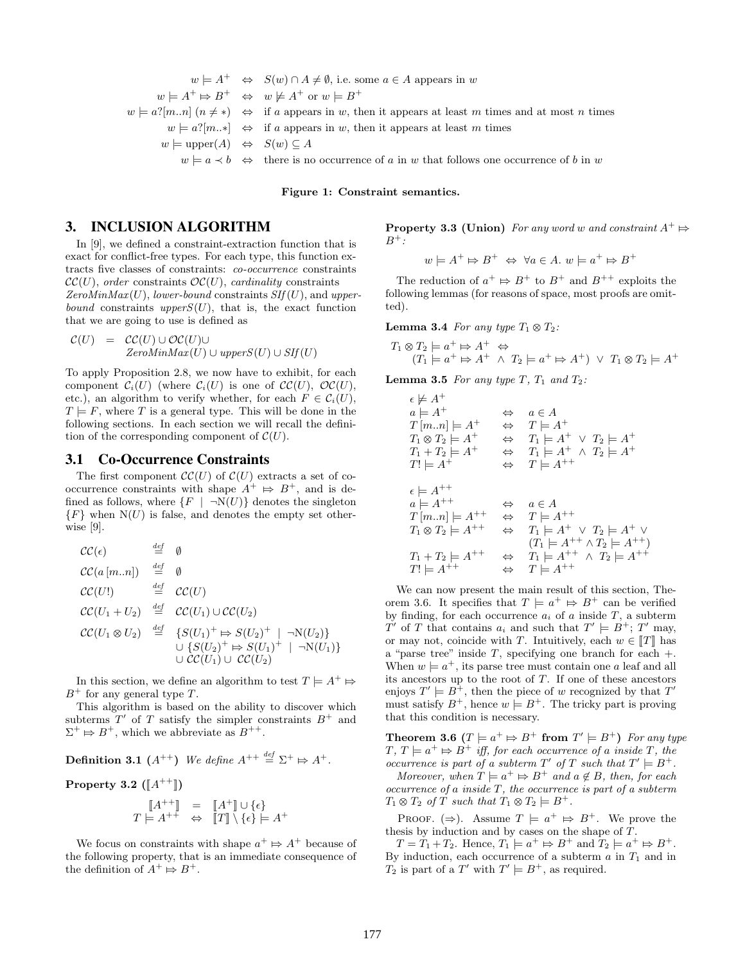$$
w \models A^+ \Leftrightarrow S(w) \cap A \neq \emptyset, \text{ i.e. some } a \in A \text{ appears in } w
$$
  
\n
$$
w \models A^+ \Rightarrow B^+ \Leftrightarrow w \not\models A^+ \text{ or } w \models B^+
$$
  
\n
$$
w \models a?[m..n] \ (n \neq *) \Leftrightarrow \text{ if } a \text{ appears in } w, \text{ then it appears at least } m \text{ times and at most } n \text{ times}
$$
  
\n
$$
w \models a?[m..*] \Leftrightarrow \text{ if } a \text{ appears in } w, \text{ then it appears at least } m \text{ times}
$$
  
\n
$$
w \models \text{upper}(A) \Leftrightarrow S(w) \subseteq A
$$
  
\n
$$
w \models a \prec b \Leftrightarrow \text{ there is no occurrence of } a \text{ in } w \text{ that follows one occurrence of } b \text{ in } w
$$

Figure 1: Constraint semantics.

# 3. INCLUSION ALGORITHM

In [9], we defined a constraint-extraction function that is exact for conflict-free types. For each type, this function extracts five classes of constraints: co-occurrence constraints  $\mathcal{CC}(U)$ , order constraints  $\mathcal{OC}(U)$ , cardinality constraints ZeroMin $Max(U)$ , lower-bound constraints  $SIf(U)$ , and upperbound constraints upper $S(U)$ , that is, the exact function that we are going to use is defined as

$$
\mathcal{C}(U) = \mathcal{C}\mathcal{C}(U) \cup \mathcal{O}\mathcal{C}(U) \cup ZeroMinMax(U) \cup upperS(U) \cup SIf(U)
$$

To apply Proposition 2.8, we now have to exhibit, for each component  $C_i(U)$  (where  $C_i(U)$  is one of  $\mathcal{CC}(U)$ ,  $\mathcal{OC}(U)$ , etc.), an algorithm to verify whether, for each  $F \in \mathcal{C}_i(U)$ ,  $T \models F$ , where T is a general type. This will be done in the following sections. In each section we will recall the definition of the corresponding component of  $\mathcal{C}(U)$ .

## 3.1 Co-Occurrence Constraints

The first component  $\mathcal{CC}(U)$  of  $\mathcal{C}(U)$  extracts a set of cooccurrence constraints with shape  $A^+ \Rightarrow B^+$ , and is de-<br>fined as follows, where  $\{F \mid \neg N(H)\}$  denotes the singleton fined as follows, where  $\{F \mid \neg N(U)\}\$  denotes the singleton  ${F}$  when  $N(U)$  is false, and denotes the empty set otherwise [9].

$$
CC(\epsilon) \qquad \stackrel{def}{=} \emptyset
$$
  
\n
$$
CC(a [m..n]) \qquad \stackrel{def}{=} \emptyset
$$
  
\n
$$
CC(U!) \qquad \stackrel{def}{=} CC(U)
$$
  
\n
$$
CC(U_1 + U_2) \qquad \stackrel{def}{=} CC(U_1) \cup CC(U_2)
$$
  
\n
$$
CC(U_1 \otimes U_2) \qquad \stackrel{def}{=} \{S(U_1)^+ \Rightarrow S(U_2)^+ \mid \neg N(U_2)\}
$$
  
\n
$$
\cup \{S(U_2)^+ \Rightarrow S(U_1)^+ \mid \neg N(U_1)\}
$$
  
\n
$$
\cup CC(U_1) \cup CC(U_2)
$$

In this section, we define an algorithm to test  $T \models A^+ \Rightarrow$ <br>+ for any general type  $T$  $B^+$  for any general type T.

This algorithm is based on the ability to discover which subterms  $T'$  of T satisfy the simpler constraints  $B^+$  and  $\Sigma^+ \mapsto B^+$ , which we abbreviate as  $B^{++}$ .

**Definition 3.1** 
$$
(A^{++})
$$
 *We define*  $A^{++} \stackrel{\text{def}}{=} \Sigma^+ \mapsto A^+$ .

Property 3.2 
$$
(\llbracket A^{++} \rrbracket)
$$

$$
\begin{array}{rcl} \llbracket A^{++} \rrbracket & = & \llbracket A^+ \rrbracket \cup \{\epsilon\} \\ T \models A^{++} & \Leftrightarrow & \llbracket T \rrbracket \setminus \{\epsilon\} \models A^+ \end{array}
$$

We focus on constraints with shape  $a^+ \Rightarrow A^+$  because of ploying property that is an immediate consequence of the following property, that is an immediate consequence of the definition of  $A^+ \mapsto B^+$ .

**Property 3.3 (Union)** For any word w and constraint  $A^+ \nightharpoonup_{P^+} A$ .  $B^+$  :

 $w \models A^+ \mapsto B^+ \Leftrightarrow \forall a \in A. w \models a^+ \mapsto B^+$ 

The reduction of  $a^+ \Rightarrow B^+$  to  $B^+$  and  $B^{++}$  exploits the<br>lowing lemmas (for reasons of space, most proofs are omit following lemmas (for reasons of space, most proofs are omitted).

**Lemma 3.4** For any type  $T_1 \otimes T_2$ :

$$
T_1 \otimes T_2 \models a^+ \mapsto A^+ \Leftrightarrow
$$
  
\n
$$
(T_1 \models a^+ \mapsto A^+ \wedge T_2 \models a^+ \mapsto A^+) \vee T_1 \otimes T_2 \models A^+
$$

**Lemma 3.5** For any type T,  $T_1$  and  $T_2$ :

$$
\epsilon \not\models A^+\newline \begin{array}{l}\n a \models A^+ \\
 T[m..n] \models A^+ \\
 \Leftrightarrow T \models A^+ \\
 T_1 \otimes T_2 \models A^+ \\
 \Leftrightarrow T_1 \models A^+ \lor T_2 \models A^+ \\
 T_1 + T_2 \models A^+ \\
 \Leftrightarrow T_1 \models A^+ \land T_2 \models A^+ \\
 T \models A^+ \\
 \epsilon \models A^{++} \\
 a \models A^{++} \\
 \Leftrightarrow T \models A^{++} \\
 a \in A \\
 T[m..n] \models A^{++} \\
 \Leftrightarrow T \models A^{++} \\
 T_1 \otimes T_2 \models A^{++} \\
 \Leftrightarrow T_1 \models A^+ \land T_2 \models A^+ \\
 T_1 + T_2 \models A^{++} \\
 \Leftrightarrow T_1 \models A^{++} \land T_2 \models A^{++} \\
 T_1 \models A^{++} \\
 \Leftrightarrow T \models A^{++} \\
 \Leftrightarrow T \models A^{++} \\
 \Leftrightarrow T \models A^{++}\n\end{array}
$$

We can now present the main result of this section, Theorem 3.6. It specifies that  $T \models a^+ \Rightarrow B^+$  can be verified<br>by finding for each occurrence  $a_i$  of a inside  $T$ , a subterm by finding, for each occurrence  $a_i$  of a inside  $T$ , a subterm T' of T that contains  $a_i$  and such that  $T' \models B^+$ ; T' may, or may not, coincide with T. Intuitively, each  $w \in \llbracket T \rrbracket$  has a "parse tree" inside  $T$ , specifying one branch for each  $+$ . When  $w \models a^+$ , its parse tree must contain one a leaf and all its ancestors up to the root of  $T$ . If one of these ancestors enjoys  $T' \models B^{\perp}$ , then the piece of w recognized by that  $T'$ must satisfy  $B^+$ , hence  $w \models B^+$ . The tricky part is proving that this condition is necessary.

**Theorem 3.6**  $(T \models a^+ \models B^+ \text{ from } T' \models B^+)$  For any type  $T \not\subseteq T \models a^+ \models B^+$  iff for each occurrence of a inside T, the  $T, T \models a^+ \Rightarrow B^+$  iff, for each occurrence of a inside T, the occurrence is part of a subterm  $T'$  of T such that  $T' \models B^+$ .

Moreover, when  $T \models a^+ \Rightarrow B^+$  and  $a \notin B$ , then, for each currence of a invide T, the occurrence is nort of a subterm  $occurrence of a inside T, the occurrence is part of a subterm$  $T_1 \otimes T_2$  of T such that  $T_1 \otimes T_2 \models B^+$ .

PROOF.  $(\Rightarrow)$ . Assume  $T \models a^+ \Rightarrow B^+$ . We prove the thesis by induction and by cases on the shape of T.

 $T = T_1 + T_2$ . Hence,  $T_1 \models a^+ \Rightarrow B^+$  and  $T_2 \models a^+ \Rightarrow B^+$ .<br>
induction, each occurrence of a subterm g in T, and in By induction, each occurrence of a subterm  $a$  in  $T_1$  and in  $T_2$  is part of a T' with  $T' \models B^+$ , as required.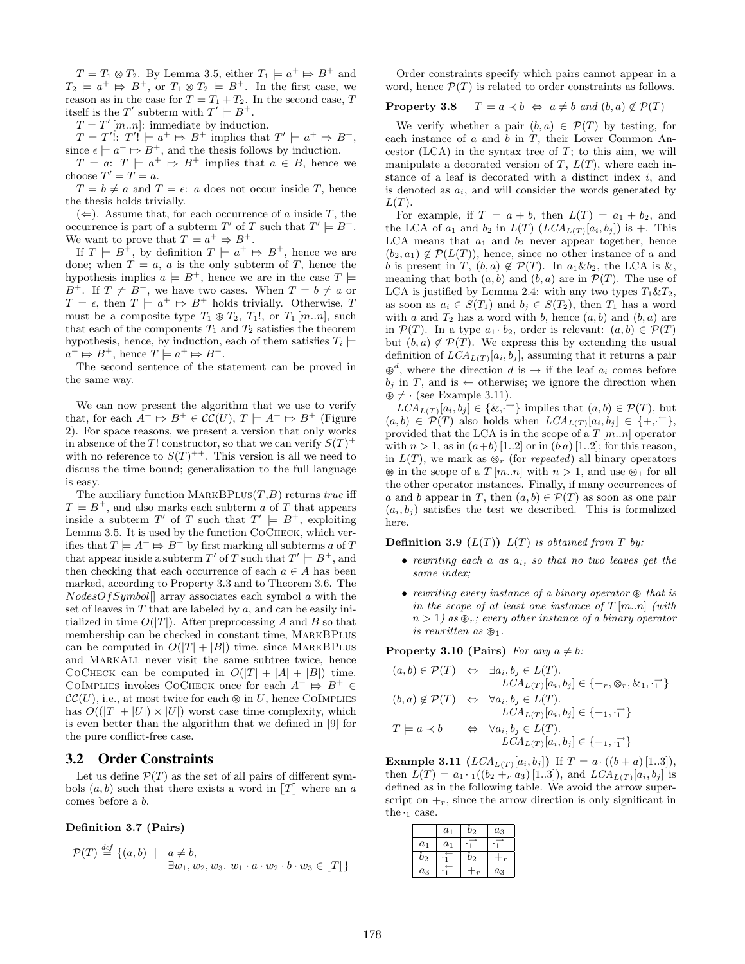$T = T_1 \otimes T_2$ . By Lemma 3.5, either  $T_1 \models a^+ \Rightarrow B^+$  and  $\vdash a^+ \Rightarrow B^+$  or  $T_+ \otimes T_+ \vdash B^+$  In the first case, we  $T_2 \models a^+ \Rightarrow B^+$ , or  $T_1 \otimes T_2 \models B^+$ . In the first case, we<br>recover as in the case for  $T-T_+T_+$ . In the second case, T reason as in the case for  $T = T_1 + T_2$ . In the second case, T itself is the T' subterm with  $T' \models B^+$ .

 $T = T'[m..n]$ : immediate by induction.

 $T = T'$ :  $T' = a^+ \Rightarrow B^+$  implies that  $T' = a^+ \Rightarrow B^+$ ,<br>  $P^+ \Rightarrow P^+$  and the thosis follows by induction since  $\epsilon \models a^+ \Rightarrow B^+$ , and the thesis follows by induction.<br>  $T = a: T \models a^+ \Rightarrow B^+$  implies that  $a \in B$  hence

 $T = a: T \models a^+ \Rightarrow B^+$  implies that  $a \in B$ , hence we choose  $T' = T = a$ .

 $T = b \neq a$  and  $T = \epsilon$ : a does not occur inside T, hence the thesis holds trivially.

 $(\Leftarrow)$ . Assume that, for each occurrence of a inside T, the occurrence is part of a subterm T' of T such that  $T' \models B^+$ . We want to prove that  $T \models a^+ \Rightarrow B^+$ .<br>If  $T \models B^+$  by definition  $T \models a^+$ .

If  $T \models B^{\perp}$ , by definition  $T \models a^+ \Rightarrow B^+$ , hence we are done; when  $T = a$ , a is the only subterm of T, hence the hypothesis implies  $a \models B^+$ , hence we are in the case  $T \models$  $B^+$ . If  $T \not\models B^+$ , we have two cases. When  $T = b \not= a$  or  $T = \epsilon$ , then  $T \models a^+ \models B^+$  holds trivially. Otherwise, T<br>must be a composite type  $T_{\epsilon} \otimes T_{\epsilon}$ ,  $T_{\epsilon}$  or  $T_{\epsilon}$  [m m] such must be a composite type  $T_1 \otimes T_2$ ,  $T_1!$ , or  $T_1 [m..n]$ , such that each of the components  $T_1$  and  $T_2$  satisfies the theorem hypothesis, hence, by induction, each of them satisfies  $T_i \models$  $a^+ \mapsto B^+$ , hence  $T \models a^+ \mapsto B^+$ .<br>The second septence of the st

The second sentence of the statement can be proved in the same way.

We can now present the algorithm that we use to verify that, for each  $A^+ \Rightarrow B^+ \in \mathcal{CC}(U), T \models A^+ \Rightarrow B^+$  (Figure 2). For space reasons, we present a version that only works 2). For space reasons, we present a version that only works in absence of the T! constructor, so that we can verify  $S(T)^+$ with no reference to  $S(T)^{++}$ . This version is all we need to discuss the time bound; generalization to the full language is easy.

The auxiliary function  $\text{MARKBPLUS}(T,B)$  returns true iff  $T \models B^+$ , and also marks each subterm a of T that appears inside a subterm T' of T such that  $T' \models B^+$ , exploiting Lemma 3.5. It is used by the function CoCheck, which verifies that  $T \models A^+ \mapsto B^+$  by first marking all subterms a of T<br>that appear inside a subterm  $T'$  of T such that  $T' \models B^+$  and that appear inside a subterm T' of T such that  $T' \models B^+$ , and then checking that each occurrence of each  $a \in A$  has been marked, according to Property 3.3 and to Theorem 3.6. The  $NodesOfSymbol$  array associates each symbol a with the set of leaves in  $T$  that are labeled by  $a$ , and can be easily initialized in time  $O(|T|)$ . After preprocessing A and B so that membership can be checked in constant time, MarkBPlus can be computed in  $O(|T| + |B|)$  time, since MARKBPLUS and MarkAll never visit the same subtree twice, hence COCHECK can be computed in  $O(|T| + |A| + |B|)$  time. COIMPLIES invokes COCHECK once for each  $A^+ \nightharpoonup B^+ \in$ <br> $\mathcal{C}\mathcal{C}(U)$  i.e. at most twise for each  $\otimes$  in  $U$  bance COIMPLIES  $\mathcal{CC}(U)$ , i.e., at most twice for each  $\otimes$  in U, hence COIMPLIES has  $O((|T|+|U|) \times |U|)$  worst case time complexity, which is even better than the algorithm that we defined in [9] for the pure conflict-free case.

## 3.2 Order Constraints

Let us define  $\mathcal{P}(T)$  as the set of all pairs of different symbols  $(a, b)$  such that there exists a word in  $T$  where an a comes before a b.

Definition 3.7 (Pairs)

$$
\mathcal{P}(T) \stackrel{\text{def}}{=} \{ (a, b) \mid a \neq b, \exists w_1, w_2, w_3. w_1 \cdot a \cdot w_2 \cdot b \cdot w_3 \in [[T]] \}
$$

Order constraints specify which pairs cannot appear in a word, hence  $\mathcal{P}(T)$  is related to order constraints as follows.

## **Property 3.8**  $T \models a \prec b \Leftrightarrow a \neq b \text{ and } (b, a) \notin \mathcal{P}(T)$

We verify whether a pair  $(b, a) \in \mathcal{P}(T)$  by testing, for each instance of  $a$  and  $b$  in  $T$ , their Lower Common Ancestor  $(LCA)$  in the syntax tree of  $T$ ; to this aim, we will manipulate a decorated version of  $T$ ,  $L(T)$ , where each instance of a leaf is decorated with a distinct index  $i$ , and is denoted as  $a_i$ , and will consider the words generated by  $L(T)$ .

For example, if  $T = a + b$ , then  $L(T) = a_1 + b_2$ , and the LCA of  $a_1$  and  $b_2$  in  $L(T)$   $(LCA_{L(T)}[a_i, b_j])$  is +. This LCA means that  $a_1$  and  $b_2$  never appear together, hence  $(b_2, a_1) \notin \mathcal{P}(L(T))$ , hence, since no other instance of a and b is present in T,  $(b, a) \notin \mathcal{P}(T)$ . In  $a_1 \& b_2$ , the LCA is  $\&$ , meaning that both  $(a, b)$  and  $(b, a)$  are in  $\mathcal{P}(T)$ . The use of LCA is justified by Lemma 2.4: with any two types  $T_1 \& T_2$ , as soon as  $a_i \in S(T_1)$  and  $b_i \in S(T_2)$ , then  $T_1$  has a word with a and  $T_2$  has a word with b, hence  $(a, b)$  and  $(b, a)$  are in  $\mathcal{P}(T)$ . In a type  $a_1 \cdot b_2$ , order is relevant:  $(a, b) \in \mathcal{P}(T)$ but  $(b, a) \notin \mathcal{P}(T)$ . We express this by extending the usual definition of  $LCA_{L(T)}[a_i, b_j]$ , assuming that it returns a pair  $b_j$  in T, and is ← otherwise; we ignore the direction when <sup>d</sup>, where the direction d is  $\rightarrow$  if the leaf  $a_i$  comes before  $\mathcal{F}$  + (see Example 3.11).

 $LCA_{L(T)}[a_i, b_j] \in \{k, \rightarrow\}$  implies that  $(a, b) \in \mathcal{P}(T)$ , but  $(a, b) \in \mathcal{P}(T)$  also holds when  $LCA_{L(T)}[a_i, b_j] \in \{+, \sim\},\$ provided that the LCA is in the scope of a  $T [m..n]$  operator with  $n > 1$ , as in  $(a+b)$  [1..2] or in  $(b\ a)$  [1..2]; for this reason, in  $L(T)$ , we mark as  $\mathcal{D}_r$  (for *repeated*) all binary operators  $\circledast$  in the scope of a  $T [m..n]$  with  $n > 1$ , and use  $\circledast_1$  for all the other operator instances. Finally, if many occurrences of a and b appear in T, then  $(a, b) \in \mathcal{P}(T)$  as soon as one pair  $(a_i, b_i)$  satisfies the test we described. This is formalized here.

**Definition 3.9**  $(L(T))$   $L(T)$  is obtained from T by:

- rewriting each  $a$  as  $a_i$ , so that no two leaves get the same index;
- rewriting every instance of a binary operator  $\otimes$  that is in the scope of at least one instance of  $T [m..n]$  (with  $n > 1$ ) as  $\mathcal{D}_r$ ; every other instance of a binary operator is rewritten as  $\mathcal{B}_1$ .

**Property 3.10 (Pairs)** For any  $a \neq b$ :

$$
(a,b) \in \mathcal{P}(T) \iff \exists a_i, b_j \in L(T).
$$
  
\n
$$
LCA_{L(T)}[a_i, b_j] \in \{+, \otimes, \&_1, \vec{\mathbf{1}}\}
$$
  
\n
$$
(b,a) \notin \mathcal{P}(T) \iff \forall a_i, b_j \in L(T).
$$
  
\n
$$
LCA_{L(T)}[a_i, b_j] \in \{+, \vec{\mathbf{1}}\}
$$
  
\n
$$
T \models a \prec b \iff \forall a_i, b_j \in L(T).
$$
  
\n
$$
LCA_{L(T)}[a_i, b_j] \in \{+, \vec{\mathbf{1}}\}
$$

**Example 3.11**  $(LCA_{L(T)}[a_i, b_j])$  If  $T = a \cdot ((b + a) [1..3]),$ then  $L(T) = a_1 \cdot \binom{1}{2} + r a_3 \cdot \binom{1...3}{\}$ , and  $LCA_{L(T)}[a_i, b_j]$  is defined as in the following table. We avoid the arrow superscript on  $\mathcal{L}_r$ , since the arrow direction is only significant in the  $\cdot_1$  case.

|       | $a_1$ | $b_2$          | $a_3$ |
|-------|-------|----------------|-------|
| $a_1$ | $a_1$ |                |       |
| $b_2$ |       | b <sub>2</sub> |       |
| $a_3$ |       |                | $a_3$ |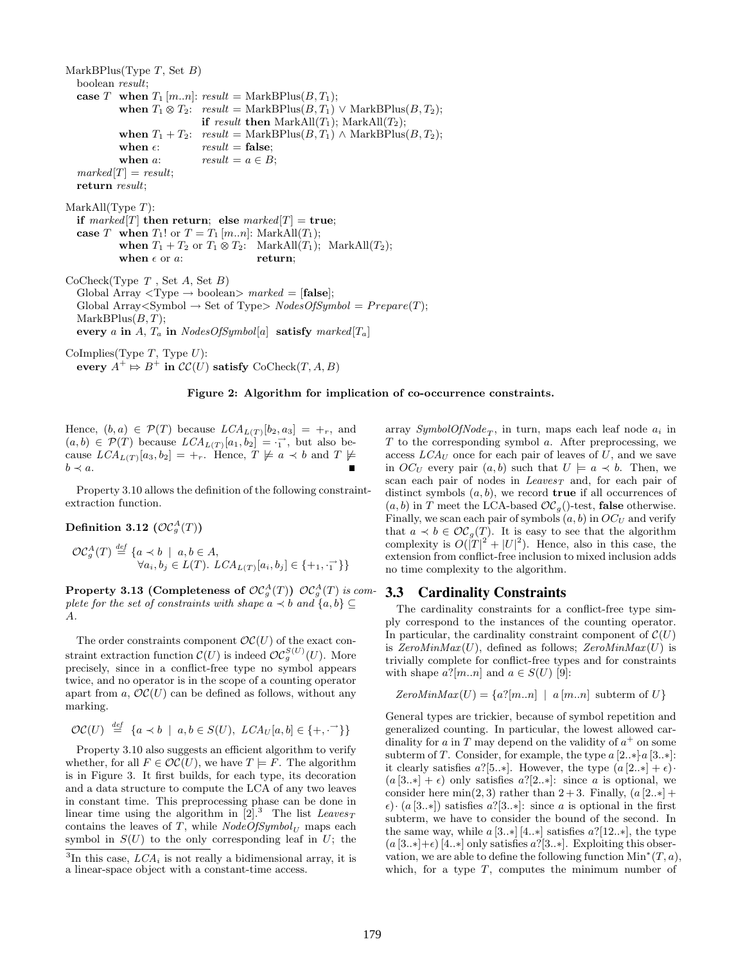MarkBPlus(Type  $T$ , Set  $B$ ) boolean result; case T when  $T_1$  [m..n]: result = MarkBPlus( $B, T_1$ ); when  $T_1 \otimes T_2$ : result = MarkBPlus( $B, T_1$ )  $\vee$  MarkBPlus( $B, T_2$ ); if result then  $MarkAll(T_1)$ ;  $MarkAll(T_2)$ ; when  $T_1 + T_2$ : result = MarkBPlus $(B, T_1) \wedge \text{MarkBPlus}(B, T_2)$ ; when  $\epsilon$ :  $result = false;$ when a:  $result = a \in B;$  $marked[T] = result;$ return result;  $MarkAll(Type T)$ : if marked  $T$  then return; else marked  $T$  = true; case T when  $T_1!$  or  $T = T_1[m..n]$ : MarkAll $(T_1)$ ; when  $T_1 + T_2$  or  $T_1 \otimes T_2$ : MarkAll $(T_1)$ ; MarkAll $(T_2)$ ;<br>when  $\epsilon$  or  $a$ : return: when  $\epsilon$  or  $a$ :  $CoCheck(Type T, Set A, Set B)$ Global Array  $\langle \text{Type} \rightarrow \text{boolean} \rangle$  marked = [false]; Global Array<Symbol  $\rightarrow$  Set of Type $>$  NodesOfSymbol = Prepare(T);  $MarkBPlus(B, T);$ every a in A,  $T_a$  in NodesOfSymbol[a] satisfy marked[ $T_a$ ] CoImplies(Type  $T$ , Type  $U$ ): every  $A^+ \mapsto B^+$  in  $\mathcal{CC}(U)$  satisfy  $\mathrm{CoCheck}(T, A, B)$ 

#### Figure 2: Algorithm for implication of co-occurrence constraints.

Hence,  $(b, a) \in \mathcal{P}(T)$  because  $LCA_{L(T)}[b_2, a_3] = +_r$ , and  $(a, b) \in \mathcal{P}(T)$  because  $LCA_{L(T)}[a_1, b_2] = \overrightarrow{1}$ , but also because  $LCA_{L(T)}[a_3, b_2] = +_r$ . Hence,  $T \not\models a \prec b$  and  $T \not\models$  $b \prec a$ .

Property 3.10 allows the definition of the following constraintextraction function.

Definition 3.12  $(\mathcal{OC}_g^A(T))$ 

def

$$
\mathcal{OC}_g^A(T) \stackrel{\text{def}}{=} \{a \prec b \mid a, b \in A, \forall a_i, b_j \in L(T). \ LCA_{L(T)}[a_i, b_j] \in \{+, \cdot, \cdot\} \}
$$

Property 3.13 (Completeness of  $\mathcal{OC}_g^A(T)$ )  $\mathcal{OC}_g^A(T)$  is complete for the set of constraints with shape  $a \prec b$  and  $\{a, b\} \subseteq$ A.

The order constraints component  $OC(U)$  of the exact constraint extraction function  $\mathcal{C}(U)$  is indeed  $\mathcal{OC}_g^{S(U)}(U)$ . More precisely, since in a conflict-free type no symbol appears twice, and no operator is in the scope of a counting operator apart from a,  $OC(U)$  can be defined as follows, without any marking.

$$
\mathcal{OC}(U) \stackrel{def}{=} \{a \prec b \mid a, b \in S(U), \ LCA_U[a, b] \in \{+, \cdot^{\rightarrow}\}\}\
$$

Property 3.10 also suggests an efficient algorithm to verify whether, for all  $F \in \mathcal{OC}(U)$ , we have  $T \models F$ . The algorithm is in Figure 3. It first builds, for each type, its decoration and a data structure to compute the LCA of any two leaves in constant time. This preprocessing phase can be done in linear time using the algorithm in  $[2].^3$  The list Leaves<sub>T</sub> contains the leaves of T, while  $NodeOfSymbol_U$  maps each symbol in  $S(U)$  to the only corresponding leaf in U; the

array  $SymbolOfNode_T$ , in turn, maps each leaf node  $a_i$  in  $T$  to the corresponding symbol  $a$ . After preprocessing, we access  $LCA_U$  once for each pair of leaves of  $U$ , and we save in  $OC_U$  every pair  $(a, b)$  such that  $U \models a \prec b$ . Then, we scan each pair of nodes in  $Leaves_T$  and, for each pair of distinct symbols  $(a, b)$ , we record **true** if all occurrences of  $(a, b)$  in T meet the LCA-based  $OC<sub>g</sub>($ )-test, **false** otherwise. Finally, we scan each pair of symbols  $(a, b)$  in  $OC_U$  and verify that  $a \prec b \in \mathcal{OC}_q(T)$ . It is easy to see that the algorithm complexity is  $O(|T|^2 + |U|^2)$ . Hence, also in this case, the extension from conflict-free inclusion to mixed inclusion adds no time complexity to the algorithm.

## 3.3 Cardinality Constraints

The cardinality constraints for a conflict-free type simply correspond to the instances of the counting operator. In particular, the cardinality constraint component of  $\mathcal{C}(U)$ is  $ZeroMinMax(U)$ , defined as follows;  $ZeroMinMax(U)$  is trivially complete for conflict-free types and for constraints with shape  $a$ ?[m..n] and  $a \in S(U)$  [9]:

$$
ZeroMinMax(U) = \{a?[m..n] \mid a[m..n] \text{ subterm of } U\}
$$

General types are trickier, because of symbol repetition and generalized counting. In particular, the lowest allowed cardinality for a in T may depend on the validity of  $a^+$  on some subterm of T. Consider, for example, the type  $a [2..*]a [3..*]$ : it clearly satisfies a?[5..\*]. However, the type  $(a [2..*] + \epsilon)$ ·  $(a [3..*] + \epsilon)$  only satisfies  $a$ ?[2..\*]: since a is optional, we consider here min(2, 3) rather than  $2 + 3$ . Finally,  $(a [2, *]+)$  $\epsilon)$ · (a [3..\*]) satisfies a?[3..\*]: since a is optional in the first subterm, we have to consider the bound of the second. In the same way, while  $a [3..*] [4..*]$  satisfies  $a^2[12..*]$ , the type  $(a [3..*]+ \epsilon) [4..*]$  only satisfies  $a$ ?[3..\*]. Exploiting this observation, we are able to define the following function  $Min^*(T, a)$ , which, for a type  $T$ , computes the minimum number of

 ${}^{3}$ In this case,  $LCA_i$  is not really a bidimensional array, it is a linear-space object with a constant-time access.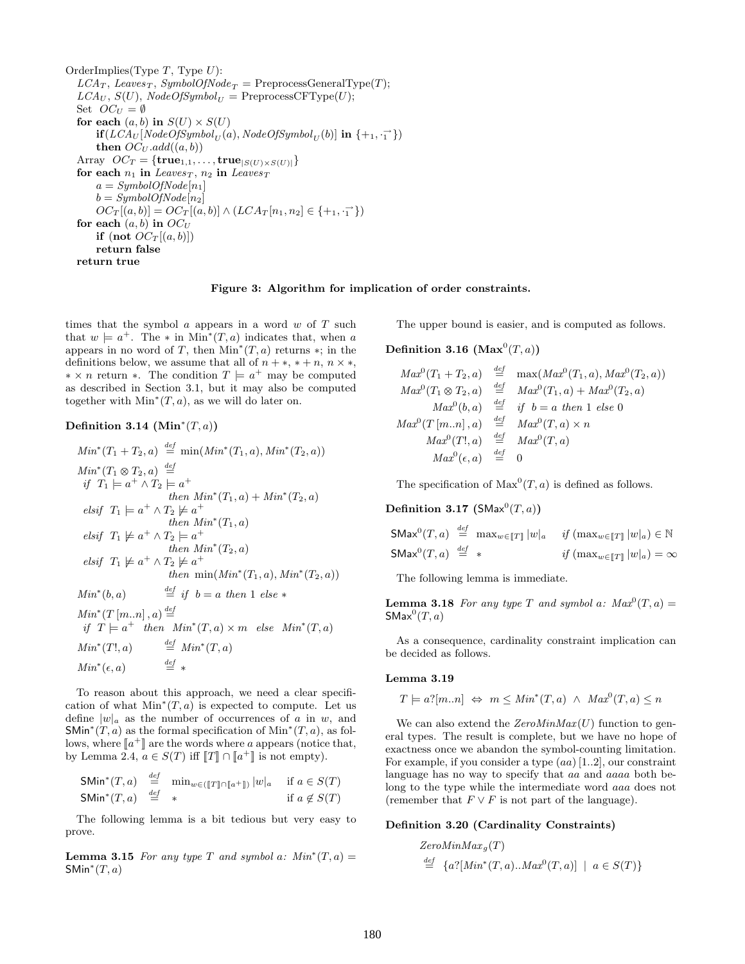OrderImplies(Type  $T$ , Type  $U$ ):  $LCA_T$ , Leaves<sub>T</sub>, SymbolOfNode<sub>T</sub> = PreprocessGeneralType(T);  $LCA_U$ ,  $S(U)$ ,  $NodeOfSymbol_{U}$  = PreprocessCFType(U); Set  $OC_U = \emptyset$ for each  $(a, b)$  in  $S(U) \times S(U)$  $\textbf{if}(LCA_U[NodeOfSymbol_U(a),NodeOf Symbol_U(b)] \textbf{ in } \{+_1, \cdot_1^{\rightarrow}\})$ then  $OC_U.add((a, b))$ Array  $OC_T = \{ \mathbf{true}_{1,1}, \ldots, \mathbf{true}_{|S(U) \times S(U)|} \}$ for each  $n_1$  in Leaves<sub>T</sub>,  $n_2$  in Leaves<sub>T</sub>  $a = SymbolOfNode[n_1]$  $b = SymbolOfNode[n_2]$  $OC_T[(a, b)] = OC_T[(a, b)] \wedge (LCA_T[n_1, n_2] \in \{+, \cdot, \cdot\}$ for each  $(a, b)$  in  $OC_U$ if (not  $OC_T[(a, b)]$ ) return false return true

Figure 3: Algorithm for implication of order constraints.

times that the symbol  $\alpha$  appears in a word  $w$  of  $T$  such that  $w \models a^+$ . The \* in Min<sup>\*</sup>(T, a) indicates that, when a appears in no word of T, then  $Min^*(T, a)$  returns  $*$ ; in the definitions below, we assume that all of  $n + *$ ,  $* + n$ ,  $n \times *$ ,  $* \times n$  return ∗. The condition  $T \models a^+$  may be computed as described in Section 3.1, but it may also be computed together with  $Min^*(T, a)$ , as we will do later on.

## Definition 3.14  $(\text{Min}^*(T, a))$

$$
Min^*(T_1 + T_2, a) \stackrel{def}{=} \min(Min^*(T_1, a), Min^*(T_2, a))
$$
  
\n
$$
Min^*(T_1 \otimes T_2, a) \stackrel{def}{=} \text{if } T_1 \models a^+ \land T_2 \models a^+ \text{then } Min^*(T_1, a) + Min^*(T_2, a)
$$
  
\n
$$
elsif T_1 \models a^+ \land T_2 \not\models a^+ \text{then } Min^*(T_1, a)
$$
  
\n
$$
elsif T_1 \not\models a^+ \land T_2 \not\models a^+ \text{then } Min^*(T_2, a)
$$
  
\n
$$
elsif T_1 \not\models a^+ \land T_2 \not\models a^+ \text{then } Min^*(T_2, a), Min^*(T_2, a))
$$
  
\n
$$
Min^*(b, a) \stackrel{def}{=} if b = a \text{ then } 1 \text{ else } *
$$
  
\n
$$
Min^*(T \mid m.n], a) \stackrel{def}{=} \text{Min}^*(T, a) \times m \text{ else } Min^*(T, a)
$$
  
\n
$$
Min^*(T!, a) \stackrel{def}{=} Min^*(T, a)
$$
  
\n
$$
Min^*(\epsilon, a) \stackrel{def}{=} *
$$

To reason about this approach, we need a clear specification of what  $Min^*(T, a)$  is expected to compute. Let us define  $|w|_a$  as the number of occurrences of a in w, and SMin<sup>\*</sup> $(T, a)$  as the formal specification of Min<sup>\*</sup> $(T, a)$ , as follows, where  $[a^+]$  are the words where a appears (notice that,<br>by Lomma 2.4,  $a \in S(T)$  iff  $\mathbb{F}T \cap \mathbb{F}e^{+}$  is not omnty) by Lemma 2.4,  $a \in S(T)$  iff  $[[T]] \cap [[a^+]]$  is not empty).

|                                                  | SMin <sup>*</sup> $(T, a)$ $\stackrel{def}{=} \min_{w \in (\llbracket T \rrbracket \cap \llbracket a + \rrbracket)}  w _a$ if $a \in S(T)$ |                    |
|--------------------------------------------------|--------------------------------------------------------------------------------------------------------------------------------------------|--------------------|
| SMin <sup>*</sup> $(T, a)$ $\stackrel{def}{=}$ * |                                                                                                                                            | if $a \notin S(T)$ |

The following lemma is a bit tedious but very easy to prove.

**Lemma 3.15** For any type T and symbol a:  $Min^*(T, a) =$ SMin<sup>\*</sup> $(T, a)$ 

The upper bound is easier, and is computed as follows.

# Definition 3.16 (Max<sup>0</sup> $(T, a)$ )

$$
Max^{0}(T_{1} + T_{2}, a) \stackrel{def}{=} max(Max^{0}(T_{1}, a), Max^{0}(T_{2}, a))
$$
  
\n
$$
Max^{0}(T_{1} \otimes T_{2}, a) \stackrel{def}{=} Max^{0}(T_{1}, a) + Max^{0}(T_{2}, a)
$$
  
\n
$$
Max^{0}(b, a) \stackrel{def}{=} if b = a then 1 else 0
$$
  
\n
$$
Max^{0}(T [m..n], a) \stackrel{def}{=} Max^{0}(T, a) \times n
$$
  
\n
$$
Max^{0}(T!, a) \stackrel{def}{=} Max^{0}(T, a)
$$
  
\n
$$
Max^{0}(\epsilon, a) \stackrel{def}{=} 0
$$

The specification of  $Max^0(T, a)$  is defined as follows.

## Definition 3.17 ( $\mathsf{SMax}^0(T,a)$ ) def

$$
\begin{aligned}\n\mathsf{SMax}^{0}(T,a) & \stackrel{\text{def}}{=} \max_{w \in [T]} |w|_{a} & \text{if } (\max_{w \in [T]} |w|_{a}) \in \mathbb{N} \\
\mathsf{SMax}^{0}(T,a) & \stackrel{\text{def}}{=} * & \text{if } (\max_{w \in [T]} |w|_{a}) = \infty\n\end{aligned}
$$

The following lemma is immediate.

**Lemma 3.18** For any type T and symbol a:  $Max^0(T, a) =$  $\mathsf{SMax}^0(T,a)$ 

As a consequence, cardinality constraint implication can be decided as follows.

#### Lemma 3.19

$$
T \models a?[m..n] \Leftrightarrow m \leq Min^*(T,a) \land Max^0(T,a) \leq n
$$

We can also extend the  $ZeroMinMax(U)$  function to general types. The result is complete, but we have no hope of exactness once we abandon the symbol-counting limitation. For example, if you consider a type  $(aa)$  [1..2], our constraint language has no way to specify that aa and aaaa both belong to the type while the intermediate word aaa does not (remember that  $F \vee F$  is not part of the language).

#### Definition 3.20 (Cardinality Constraints)

$$
ZeroMinMax_{g}(T)
$$
  
\n $\stackrel{def}{=} \{a?[Min^{*}(T, a)...Max^{0}(T, a)] \mid a \in S(T)\}\$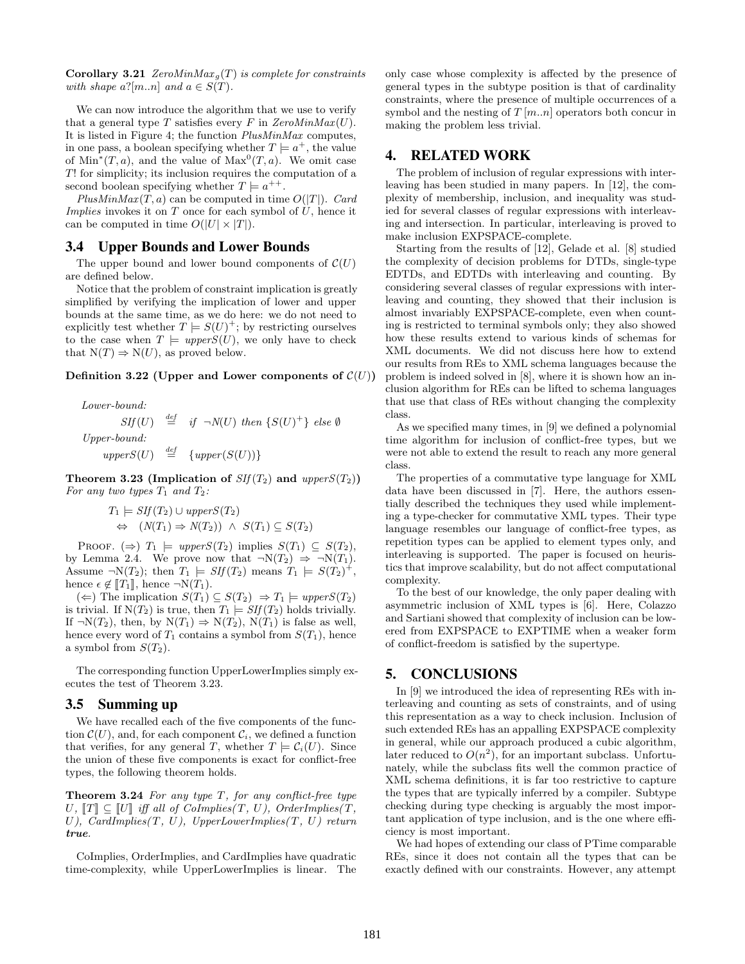**Corollary 3.21** ZeroMinMax<sub>q</sub>(T) is complete for constraints with shape  $a^2[m..n]$  and  $a \in S(T)$ .

We can now introduce the algorithm that we use to verify that a general type T satisfies every F in  $ZeroMinMax(U)$ . It is listed in Figure 4; the function PlusMinMax computes, in one pass, a boolean specifying whether  $T \models a^+$ , the value of Min<sup>\*</sup> $(T, a)$ , and the value of Max<sup>0</sup> $(T, a)$ . We omit case T! for simplicity; its inclusion requires the computation of a second boolean specifying whether  $T \models a^{++}$ .

PlusMinMax $(T, a)$  can be computed in time  $O(|T|)$ . Card Implies invokes it on  $T$  once for each symbol of  $U$ , hence it can be computed in time  $O(|U| \times |T|)$ .

## 3.4 Upper Bounds and Lower Bounds

The upper bound and lower bound components of  $\mathcal{C}(U)$ are defined below.

Notice that the problem of constraint implication is greatly simplified by verifying the implication of lower and upper bounds at the same time, as we do here: we do not need to explicitly test whether  $T \models S(U)^+$ ; by restricting ourselves to the case when  $T \models upperS(U)$ , we only have to check that  $N(T) \Rightarrow N(U)$ , as proved below.

#### Definition 3.22 (Upper and Lower components of  $\mathcal{C}(U)$ )

Lower-bound:  $Sif(U) \stackrel{def}{=} if \neg N(U) then \{S(U)^+\} else \emptyset$ Upper-bound:  $upperS(U) \stackrel{def}{=} \{upper(S(U))\}$ 

Theorem 3.23 (Implication of  $SIf(T_2)$  and upper $S(T_2)$ ) For any two types  $T_1$  and  $T_2$ :

$$
T_1 \models SIf(T_2) \cup upperS(T_2)
$$
  
\n
$$
\Leftrightarrow (N(T_1) \Rightarrow N(T_2)) \land S(T_1) \subseteq S(T_2)
$$

PROOF. ( $\Rightarrow$ )  $T_1 \models upperS(T_2)$  implies  $S(T_1) \subseteq S(T_2)$ , by Lemma 2.4. We prove now that  $\neg N(T_2) \Rightarrow \neg N(T_1)$ . Assume  $\neg N(T_2)$ ; then  $T_1 \models SIf(T_2)$  means  $T_1 \models S(T_2)^+$ , hence  $\epsilon \notin [T_1]$ , hence  $\neg N(T_1)$ .

(←) The implication  $S(T_1)$   $\subseteq$   $S(T_2)$   $\Rightarrow$   $T_1$   $\models$  upper $S(T_2)$ is trivial. If  $N(T_2)$  is true, then  $T_1 \models SIf(T_2)$  holds trivially. If  $\neg N(T_2)$ , then, by  $N(T_1) \Rightarrow N(T_2)$ ,  $N(T_1)$  is false as well, hence every word of  $T_1$  contains a symbol from  $S(T_1)$ , hence a symbol from  $S(T_2)$ .

The corresponding function UpperLowerImplies simply executes the test of Theorem 3.23.

## 3.5 Summing up

We have recalled each of the five components of the function  $\mathcal{C}(U)$ , and, for each component  $\mathcal{C}_i$ , we defined a function that verifies, for any general T, whether  $T \models C_i(U)$ . Since the union of these five components is exact for conflict-free types, the following theorem holds.

**Theorem 3.24** For any type  $T$ , for any conflict-free type  $U, T \subseteq U$  iff all of CoImplies(T, U), OrderImplies(T, U), CardImplies $(T, U)$ , UpperLowerImplies $(T, U)$  return true.

CoImplies, OrderImplies, and CardImplies have quadratic time-complexity, while UpperLowerImplies is linear. The

only case whose complexity is affected by the presence of general types in the subtype position is that of cardinality constraints, where the presence of multiple occurrences of a symbol and the nesting of  $T [m..n]$  operators both concur in making the problem less trivial.

# 4. RELATED WORK

The problem of inclusion of regular expressions with interleaving has been studied in many papers. In [12], the complexity of membership, inclusion, and inequality was studied for several classes of regular expressions with interleaving and intersection. In particular, interleaving is proved to make inclusion EXPSPACE-complete.

Starting from the results of [12], Gelade et al. [8] studied the complexity of decision problems for DTDs, single-type EDTDs, and EDTDs with interleaving and counting. By considering several classes of regular expressions with interleaving and counting, they showed that their inclusion is almost invariably EXPSPACE-complete, even when counting is restricted to terminal symbols only; they also showed how these results extend to various kinds of schemas for XML documents. We did not discuss here how to extend our results from REs to XML schema languages because the problem is indeed solved in [8], where it is shown how an inclusion algorithm for REs can be lifted to schema languages that use that class of REs without changing the complexity class.

As we specified many times, in [9] we defined a polynomial time algorithm for inclusion of conflict-free types, but we were not able to extend the result to reach any more general class.

The properties of a commutative type language for XML data have been discussed in [7]. Here, the authors essentially described the techniques they used while implementing a type-checker for commutative XML types. Their type language resembles our language of conflict-free types, as repetition types can be applied to element types only, and interleaving is supported. The paper is focused on heuristics that improve scalability, but do not affect computational complexity.

To the best of our knowledge, the only paper dealing with asymmetric inclusion of XML types is [6]. Here, Colazzo and Sartiani showed that complexity of inclusion can be lowered from EXPSPACE to EXPTIME when a weaker form of conflict-freedom is satisfied by the supertype.

# 5. CONCLUSIONS

In [9] we introduced the idea of representing REs with interleaving and counting as sets of constraints, and of using this representation as a way to check inclusion. Inclusion of such extended REs has an appalling EXPSPACE complexity in general, while our approach produced a cubic algorithm, later reduced to  $O(n^2)$ , for an important subclass. Unfortunately, while the subclass fits well the common practice of XML schema definitions, it is far too restrictive to capture the types that are typically inferred by a compiler. Subtype checking during type checking is arguably the most important application of type inclusion, and is the one where efficiency is most important.

We had hopes of extending our class of PTime comparable REs, since it does not contain all the types that can be exactly defined with our constraints. However, any attempt